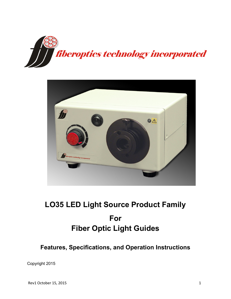



# **LO35 LED Light Source Product Family For Fiber Optic Light Guides**

**Features, Specifications, and Operation Instructions**

Copyright 2015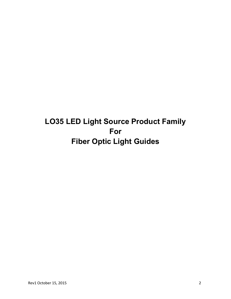## **LO35 LED Light Source Product Family For Fiber Optic Light Guides**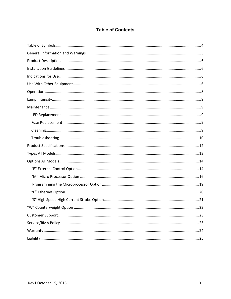## **Table of Contents**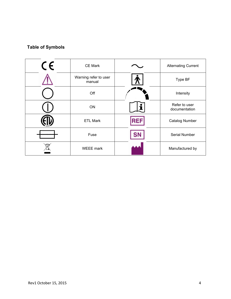## <span id="page-3-0"></span>**Table of Symbols**

| $\epsilon$ | <b>CE Mark</b>                  |   | <b>Alternating Current</b>     |
|------------|---------------------------------|---|--------------------------------|
|            | Warning refer to user<br>manual |   | Type BF                        |
|            | Off                             |   | Intensity                      |
|            | ON                              | Ť | Refer to user<br>documentation |
|            | <b>ETL Mark</b>                 |   | <b>Catalog Number</b>          |
|            | Fuse                            |   | <b>Serial Number</b>           |
|            | <b>WEEE</b> mark                |   | Manufactured by                |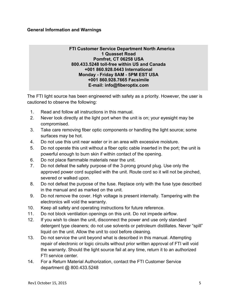#### <span id="page-4-0"></span>**General Information and Warnings**

#### **FTI Customer Service Department North America 1 Quasset Road Pomfret, CT 06258 USA 800.433.5248 toll-free within US and Canada +001 860.928.0443 International Monday - Friday 8AM - 5PM EST USA +001 860.928.7665 Facsimile E-mail: info@fiberoptix.com**

The FTI light source has been engineered with safety as a priority. However, the user is cautioned to observe the following:

- 1. Read and follow all instructions in this manual.
- 2. Never look directly at the light port when the unit is on; your eyesight may be compromised.
- 3. Take care removing fiber optic components or handling the light source; some surfaces may be hot.
- 4. Do not use this unit near water or in an area with excessive moisture.
- 5. Do not operate this unit without a fiber optic cable inserted in the port; the unit is powerful enough to burn skin if within contact of the opening.
- 6. Do not place flammable materials near the unit.
- 7. Do not defeat the safety purpose of the 3-prong ground plug. Use only the approved power cord supplied with the unit. Route cord so it will not be pinched, severed or walked upon.
- 8. Do not defeat the purpose of the fuse. Replace only with the fuse type described in the manual and as marked on the unit.
- 9. Do not remove the cover. High voltage is present internally. Tampering with the electronics will void the warranty.
- 10. Keep all safety and operating instructions for future reference.
- 11. Do not block ventilation openings on this unit. Do not impede airflow.
- 12. If you wish to clean the unit, disconnect the power and use only standard detergent type cleaners; do not use solvents or petroleum distillates. Never "spill" liquid on the unit. Allow the unit to cool before cleaning.
- 13. Do not service the unit beyond what is described in this manual. Attempting repair of electronic or logic circuits without prior written approval of FTI will void the warranty. Should the light source fail at any time, return it to an authorized FTI service center.
- 14. For a Return Material Authorization, contact the FTI Customer Service department @ 800.433.5248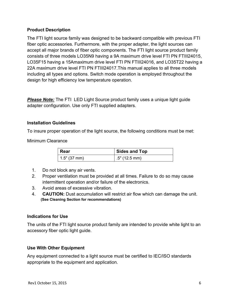#### <span id="page-5-0"></span>**Product Description**

The FTI light source family was designed to be backward compatible with previous FTI fiber optic accessories. Furthermore, with the proper adapter, the light sources can accept all major brands of fiber optic components. The FTI light source product family consists of three models LO35N9 having a 9A maximum drive level FTI PN FTIII24015, LO35F15 having a 15Amaximum drive level FTI PN FTIII24016, and LO35T22 having a 22A maximum drive level FTI PN FTIII24017.This manual applies to all three models including all types and options. Switch mode operation is employed throughout the design for high efficiency low temperature operation.

**Please Note:** The FTI LED Light Source product family uses a unique light guide adapter configuration. Use only FTI supplied adapters.

## <span id="page-5-1"></span>**Installation Guidelines**

To insure proper operation of the light source, the following conditions must be met:

Minimum Clearance

| ∣ Rear          | Sides and Top   |
|-----------------|-----------------|
| $1.5$ " (37 mm) | $.5"$ (12.5 mm) |

- 1. Do not block any air vents.
- 2. Proper ventilation must be provided at all times. Failure to do so may cause intermittent operation and/or failure of the electronics.
- 3. Avoid areas of excessive vibration.
- 4. **CAUTION:** Dust accumulation will restrict air flow which can damage the unit. **(See Cleaning Section for recommendations)**

#### <span id="page-5-2"></span>**Indications for Use**

The units of the FTI light source product family are intended to provide white light to an accessory fiber optic light guide.

## <span id="page-5-3"></span>**Use With Other Equipment**

Any equipment connected to a light source must be certified to IEC/ISO standards appropriate to the equipment and application.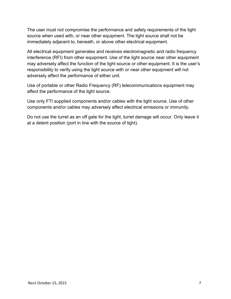The user must not compromise the performance and safety requirements of the light source when used with, or near other equipment. The light source shall not be immediately adjacent to, beneath, or above other electrical equipment.

All electrical equipment generates and receives electromagnetic and radio frequency interference (RFI) from other equipment. Use of the light source near other equipment may adversely affect the function of the light source or other equipment. It is the user's responsibility to verify using the light source with or near other equipment will not adversely affect the performance of either unit.

Use of portable or other Radio Frequency (RF) telecommunications equipment may affect the performance of the light source.

Use only FTI supplied components and/or cables with the light source. Use of other components and/or cables may adversely affect electrical emissions or immunity.

Do not use the turret as an off gate for the light, turret damage will occur. Only leave it at a detent position (port in line with the source of light).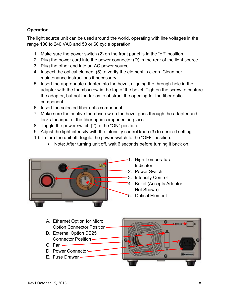## <span id="page-7-0"></span>**Operation**

The light source unit can be used around the world, operating with line voltages in the range 100 to 240 VAC and 50 or 60 cycle operation.

- 1. Make sure the power switch (2) on the front panel is in the "off" position.
- 2. Plug the power cord into the power connector (D) in the rear of the light source.
- 3. Plug the other end into an AC power source.
- 4. Inspect the optical element (5) to verify the element is clean. Clean per maintenance instructions if necessary.
- 5. Insert the appropriate adapter into the bezel, aligning the through-hole in the adapter with the thumbscrew in the top of the bezel. Tighten the screw to capture the adapter, but not too far as to obstruct the opening for the fiber optic component.
- 6. Insert the selected fiber optic component.
- 7. Make sure the captive thumbscrew on the bezel goes through the adapter and locks the input of the fiber optic component in place.
- 8. Toggle the power switch (2) to the "ON" position.
- 9. Adjust the light intensity with the intensity control knob (3) to desired setting.
- 10.To turn the unit off, toggle the power switch to the "OFF" position.
	- Note: After turning unit off, wait 6 seconds before turning it back on.



- A. Ethernet Option for Micro Option Connector Position B. External Option DB25
	- Connector Position -
	- C. Fan
	- D. Power Connector
	- E. Fuse Drawer

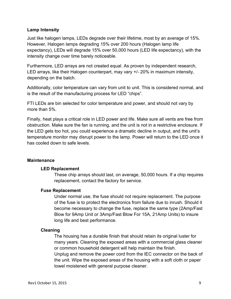#### <span id="page-8-0"></span>**Lamp Intensity**

Just like halogen lamps, LEDs degrade over their lifetime, most by an average of 15%. However, Halogen lamps degrading 15% over 200 hours (Halogen lamp life expectancy), LEDs will degrade 15% over 50,000 hours (LED life expectancy), with the intensity change over time barely noticeable.

Furthermore, LED arrays are not created equal. As proven by independent research, LED arrays, like their Halogen counterpart, may vary +/- 20% in maximum intensity, depending on the batch.

Additionally, color temperature can vary from unit to unit. This is considered normal, and is the result of the manufacturing process for LED "chips".

FTI LEDs are bin selected for color temperature and power, and should not vary by more than 5%.

Finally, heat plays a critical role in LED power and life. Make sure all vents are free from obstruction. Make sure the fan is running, and the unit is not in a restrictive enclosure. If the LED gets too hot, you could experience a dramatic decline in output, and the unit's temperature monitor may disrupt power to the lamp. Power will return to the LED once it has cooled down to safe levels.

#### <span id="page-8-2"></span><span id="page-8-1"></span>**Maintenance**

#### **LED Replacement**

These chip arrays should last, on average, 50,000 hours. If a chip requires replacement, contact the factory for service.

#### <span id="page-8-3"></span>**Fuse Replacement**

Under normal use, the fuse should not require replacement. The purpose of the fuse is to protect the electronics from failure due to inrush. Should it become necessary to change the fuse, replace the same type (2Amp/Fast Blow for 9Amp Unit or 3Amp/Fast Blow For 15A, 21Amp Units) to insure long life and best performance.

#### <span id="page-8-4"></span>**Cleaning**

The housing has a durable finish that should retain its original luster for many years. Cleaning the exposed areas with a commercial glass cleaner or common household detergent will help maintain the finish. Unplug and remove the power cord from the IEC connector on the back of the unit. Wipe the exposed areas of the housing with a soft cloth or paper towel moistened with general purpose cleaner.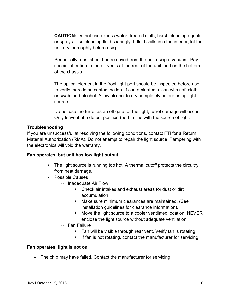**CAUTION:** Do not use excess water, treated cloth, harsh cleaning agents or sprays. Use cleaning fluid sparingly. If fluid spills into the interior, let the unit dry thoroughly before using.

Periodically, dust should be removed from the unit using a vacuum. Pay special attention to the air vents at the rear of the unit, and on the bottom of the chassis.

The optical element in the front light port should be inspected before use to verify there is no contamination. If contaminated, clean with soft cloth, or swab, and alcohol. Allow alcohol to dry completely before using light source.

Do not use the turret as an off gate for the light, turret damage will occur. Only leave it at a detent position (port in line with the source of light.

## <span id="page-9-0"></span>**Troubleshooting**

If you are unsuccessful at resolving the following conditions, contact FTI for a Return Material Authorization (RMA). Do not attempt to repair the light source. Tampering with the electronics will void the warranty.

#### **Fan operates, but unit has low light output.**

- The light source is running too hot. A thermal cutoff protects the circuitry from heat damage.
- Possible Causes
	- o Inadequate Air Flow
		- Check air intakes and exhaust areas for dust or dirt accumulation.
		- Make sure minimum clearances are maintained. (See installation guidelines for clearance information).
		- Move the light source to a cooler ventilated location. NEVER enclose the light source without adequate ventilation.
	- $\circ$  Fan Failure
		- Fan will be visible through rear vent. Verify fan is rotating.
		- If fan is not rotating, contact the manufacturer for servicing.

#### **Fan operates, light is not on.**

• The chip may have failed. Contact the manufacturer for servicing.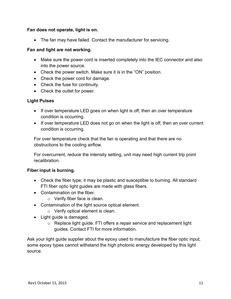#### **Fan does not operate, light is on.**

• The fan may have failed. Contact the manufacturer for servicing.

#### **Fan and light are not working.**

- Make sure the power cord is inserted completely into the IEC connector and also into the power source.
- Check the power switch. Make sure it is in the "ON" position.
- Check the power cord for damage.
- Check the fuse for continuity.
- Check the outlet for power.

#### **Light Pulses**

- If over temperature LED goes on when light is off, then an over temperature condition is occurring.
- If over temperature LED does not go on when the light is off, then an over current condition is occurring.

For over temperature check that the fan is operating and that there are no obstructions to the cooling airflow.

For overcurrent, reduce the intensity setting, unit may need high current trip point recalibration.

#### **Fiber input is burning.**

- Check the fiber type; it may be plastic and susceptible to burning. All standard FTI fiber optic light guides are made with glass fibers.
- Contamination on the fiber.
	- o Verify fiber face is clean.
- Contamination of the light source optical element.
	- o Verify optical element is clean.
- Light guide is damaged.
	- $\circ$  Replace light guide. FTI offers a repair service and replacement light guides. Contact FTI for more information.

Ask your light guide supplier about the epoxy used to manufacture the fiber optic input; some epoxy types cannot withstand the high photonic energy developed by this light source.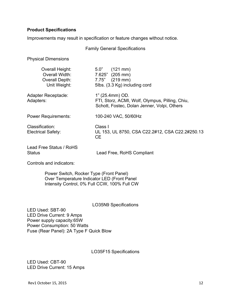#### <span id="page-11-0"></span>**Product Specifications**

Improvements may result in specification or feature changes without notice.

Family General Specifications

Physical Dimensions

| Overall Height:<br>Overall Width:<br>Overall Depth:<br>Unit Weight: | $5.0"$ $(121 \text{ mm})$<br>7.625" (205 mm)<br>$7.75"$ (219 mm)<br>5lbs. (3.3 Kg) including cord                   |
|---------------------------------------------------------------------|---------------------------------------------------------------------------------------------------------------------|
| <b>Adapter Receptacle:</b><br>Adapters:                             | $1"$ (25.4mm) OD.<br>FTI, Storz, ACMI, Wolf, Olympus, Pilling, Chiu,<br>Schott, Fostec, Dolan Jenner, Volpi, Others |
| <b>Power Requirements:</b>                                          | 100-240 VAC, 50/60Hz                                                                                                |
| Classification:<br><b>Electrical Safety:</b>                        | Class I<br>UL 153, UL 8750, CSA C22.2#12, CSA C22.2#250.13<br><b>CE</b>                                             |
| Lead Free Status / RoHS<br><b>Status</b>                            | <b>Lead Free, RoHS Compliant</b>                                                                                    |

Controls and indicators:

 Power Switch, Rocker Type (Front Panel) Over Temperature Indicator LED (Front Panel Intensity Control, 0% Full CCW, 100% Full CW

LO35N9 Specifications

LED Used: SBT-90 LED Drive Current: 9 Amps Power supply capacity:65W Power Consumption: 50 Watts Fuse (Rear Panel): 2A Type F Quick Blow

#### LO35F15 Specifications

LED Used: CBT-90 LED Drive Current: 15 Amps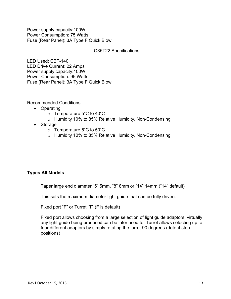Power supply capacity:100W Power Consumption: 75 Watts Fuse (Rear Panel): 3A Type F Quick Blow

#### LO35T22 Specifications

LED Used: CBT-140 LED Drive Current: 22 Amps Power supply capacity:100W Power Consumption: 95 Watts Fuse (Rear Panel): 3A Type F Quick Blow

Recommended Conditions

- Operating
	- o Temperature 5°C to 40°C
	- o Humidity 10% to 85% Relative Humidity, Non-Condensing
- Storage
	- o Temperature 5°C to 50°C
	- o Humidity 10% to 85% Relative Humidity, Non-Condensing

#### <span id="page-12-0"></span>**Types All Models**

Taper large end diameter "5" 5mm, "8" 8mm or "14" 14mm ("14" default)

This sets the maximum diameter light guide that can be fully driven.

Fixed port "F" or Turret "T" (F is default)

Fixed port allows choosing from a large selection of light guide adaptors, virtually any light guide being produced can be interfaced to. Turret allows selecting up to four different adaptors by simply rotating the turret 90 degrees (detent stop positions)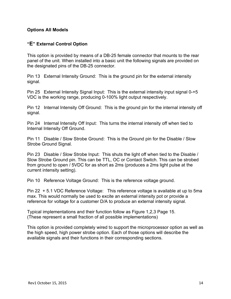#### <span id="page-13-0"></span>**Options All Models**

#### <span id="page-13-1"></span>**"E" External Control Option**

This option is provided by means of a DB-25 female connector that mounts to the rear panel of the unit. When installed into a basic unit the following signals are provided on the designated pins of the DB-25 connector.

Pin 13 External Intensity Ground: This is the ground pin for the external intensity signal.

Pin 25 External Intensity Signal Input: This is the external intensity input signal 0-+5 VDC is the working range, producing 0-100% light output respectively.

Pin 12 Internal Intensity Off Ground: This is the ground pin for the internal intensity off signal.

Pin 24 Internal Intensity Off Input: This turns the internal intensity off when tied to Internal Intensity Off Ground.

Pin 11 Disable / Slow Strobe Ground: This is the Ground pin for the Disable / Slow Strobe Ground Signal.

Pin 23 Disable / Slow Strobe Input: This shuts the light off when tied to the Disable / Slow Strobe Ground pin. This can be TTL, OC or Contact Switch. This can be strobed from ground to open / 5VDC for as short as 2ms (produces a 2ms light pulse at the current intensity setting).

Pin 10 Reference Voltage Ground: This is the reference voltage ground.

Pin 22 + 5.1 VDC Reference Voltage: This reference voltage is available at up to 5ma max. This would normally be used to excite an external intensity pot or provide a reference for voltage for a customer D/A to produce an external intensity signal.

Typical implementations and their function follow as Figure 1,2,3 Page 15. (These represent a small fraction of all possible implementations)

This option is provided completely wired to support the microprocessor option as well as the high speed, high power strobe option. Each of those options will describe the available signals and their functions in their corresponding sections.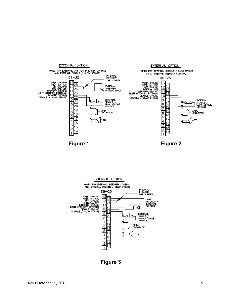







 **Figure 3**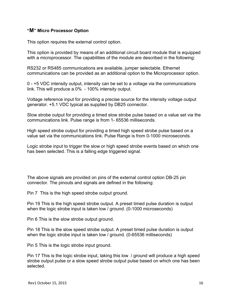#### <span id="page-15-0"></span>**"M" Micro Processor Option**

This option requires the external control option.

This option is provided by means of an additional circuit board module that is equipped with a microprocessor. The capabilities of the module are described in the following:

RS232 or RS485 communications are available, jumper selectable. Ethernet communications can be provided as an additional option to the Microprocessor option.

0 - +5 VDC intensity output, intensity can be set to a voltage via the communications link. This will produce a 0% - 100% intensity output.

Voltage reference input for providing a precise source for the intensity voltage output generator. +5.1 VDC typical as supplied by DB25 connector.

Slow strobe output for providing a timed slow strobe pulse based on a value set via the communications link. Pulse range is from 1- 65536 milliseconds.

High speed strobe output for providing a timed high speed strobe pulse based on a value set via the communications link. Pulse Range is from 0-1000 microseconds.

Logic strobe input to trigger the slow or high speed strobe events based on which one has been selected. This is a falling edge triggered signal.

The above signals are provided on pins of the external control option DB-25 pin connector. The pinouts and signals are defined in the following:

Pin 7 This is the high speed strobe output ground.

Pin 19 This is the high speed strobe output. A preset timed pulse duration is output when the logic strobe input is taken low / ground. (0-1000 microseconds)

Pin 6 This is the slow strobe output ground.

Pin 18 This is the slow speed strobe output. A preset timed pulse duration is output when the logic strobe input is taken low / ground. (0-65536 milliseconds)

Pin 5 This is the logic strobe input ground.

Pin 17 This is the logic strobe input, taking this low / ground will produce a high speed strobe output pulse or a slow speed strobe output pulse based on which one has been selected.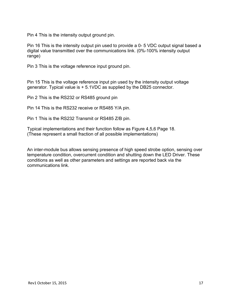Pin 4 This is the intensity output ground pin.

Pin 16 This is the intensity output pin used to provide a 0- 5 VDC output signal based a digital value transmitted over the communications link. (0%-100% intensity output range)

Pin 3 This is the voltage reference input ground pin.

Pin 15 This is the voltage reference input pin used by the intensity output voltage generator. Typical value is + 5.1VDC as supplied by the DB25 connector.

Pin 2 This is the RS232 or RS485 ground pin

Pin 14 This is the RS232 receive or RS485 Y/A pin.

Pin 1 This is the RS232 Transmit or RS485 Z/B pin.

Typical implementations and their function follow as Figure 4,5,6 Page 18. (These represent a small fraction of all possible implementations)

An inter-module bus allows sensing presence of high speed strobe option, sensing over temperature condition, overcurrent condition and shutting down the LED Driver. These conditions as well as other parameters and settings are reported back via the communications link.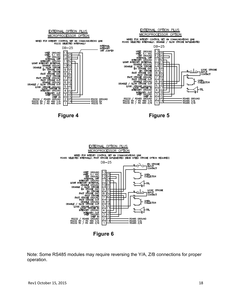

**Figure 4** Figure 5



 **Figure 6**

Note: Some RS485 modules may require reversing the Y/A, Z/B connections for proper operation.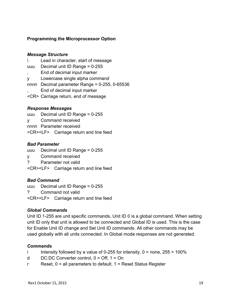## <span id="page-18-0"></span>**Programming the Microprocessor Option**

#### *Message Structure*

\ Lead in character, start of message uuu Decimal unit ID Range = 0-255 , End of decimal input marker y Lowercase single alpha command nnnn Decimal parameter Range = 0-255, 0-65536 , End of decimal input marker <CR> Carriage return, end of message

#### *Response Messages*

- uuu Decimal unit ID Range = 0-255
- y Command received
- nnnn Parameter received
- <CR><LF> Carriage return and line feed

#### *Bad Parameter*

- uuu Decimal unit ID Range = 0-255
- y Command received
- ? Parameter not valid
- <CR><LF> Carriage return and line feed

#### *Bad Command*

- uuu Decimal unit ID Range = 0-255
- ? Command not valid

<CR><LF> Carriage return and line feed

#### *Global Commands*

Unit ID 1-255 are unit specific commands, Unit ID 0 is a global command. When setting unit ID only that unit is allowed to be connected and Global ID is used. This is the case for Enable Unit ID change and Set Unit ID commands. All other commands may be used globally with all units connected. In Global mode responses are not generated.

#### *Commands*

- i Intensity followed by a value of 0-255 for intensity,  $0 =$  none,  $255 = 100\%$
- d  $DC:DC$  Converter control,  $0 = \text{Off}$ ,  $1 = \text{On}$
- r Reset, 0 = all parameters to default, 1 = Reset Status Register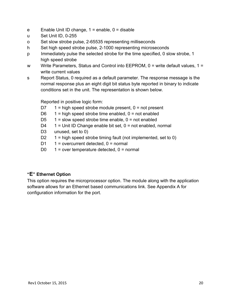- e Enable Unit ID change,  $1 =$  enable,  $0 =$  disable
- u Set Unit ID, 0-255
- o Set slow strobe pulse, 2-65535 representing milliseconds
- h Set high speed strobe pulse, 2-1000 representing microseconds
- p Immediately pulse the selected strobe for the time specified, 0 slow strobe, 1 high speed strobe
- w Write Parameters, Status and Control into EEPROM,  $0 =$  write default values,  $1 =$ write current values
- s Report Status, 0 required as a default parameter. The response message is the normal response plus an eight digit bit status byte reported in binary to indicate conditions set in the unit. The representation is shown below.

Reported in positive logic form:

- $D7 \t1 = high speed stroke module present, 0 = not present$
- D6  $1 =$  high speed strobe time enabled,  $0 =$  not enabled
- D5  $1 =$  slow speed strobe time enable,  $0 =$  not enabled
- $D4$  1 = Unit ID Change enable bit set,  $0$  = not enabled, normal
- D3 unused, set to 0)
- $D2 \t1 =$  high speed strobe timing fault (not implemented, set to 0)
- $D1 \t1 = overcurrent detected, 0 = normal$
- D0  $1 =$  over temperature detected,  $0 =$  normal

## <span id="page-19-0"></span>**"E" Ethernet Option**

This option requires the microprocessor option. The module along with the application software allows for an Ethernet based communications link. See Appendix A for configuration information for the port.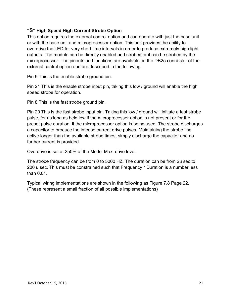## <span id="page-20-0"></span>**"S" High Speed High Current Strobe Option**

This option requires the external control option and can operate with just the base unit or with the base unit and microprocessor option. This unit provides the ability to overdrive the LED for very short time intervals in order to produce extremely high light outputs. The module can be directly enabled and strobed or it can be strobed by the microprocessor. The pinouts and functions are available on the DB25 connector of the external control option and are described in the following.

Pin 9 This is the enable strobe ground pin.

Pin 21 This is the enable strobe input pin, taking this low / ground will enable the high speed strobe for operation.

Pin 8 This is the fast strobe ground pin.

Pin 20 This is the fast strobe input pin. Taking this low / ground will initiate a fast strobe pulse, for as long as held low if the microprocessor option is not present or for the preset pulse duration if the microprocessor option is being used. The strobe discharges a capacitor to produce the intense current drive pulses. Maintaining the strobe line active longer than the available strobe times, simply discharge the capacitor and no further current is provided.

Overdrive is set at 250% of the Model Max. drive level.

The strobe frequency can be from 0 to 5000 HZ. The duration can be from 2u sec to 200 u sec. This must be constrained such that Frequency \* Duration is a number less than 0.01.

Typical wiring implementations are shown in the following as Figure 7,8 Page 22. (These represent a small fraction of all possible implementations)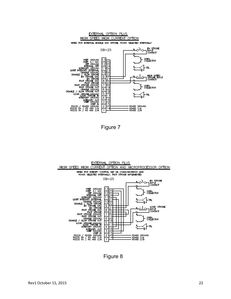





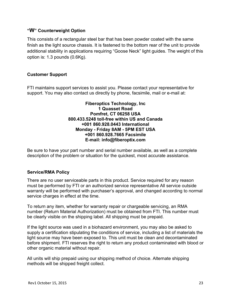#### <span id="page-22-0"></span>**"W" Counterweight Option**

This consists of a rectangular steel bar that has been powder coated with the same finish as the light source chassis. It is fastened to the bottom rear of the unit to provide additional stability in applications requiring "Goose Neck" light guides. The weight of this option is: 1.3 pounds (0.6Kg).

#### <span id="page-22-1"></span>**Customer Support**

FTI maintains support services to assist you. Please contact your representative for support. You may also contact us directly by phone, facsimile, mail or e-mail at:

> **Fiberoptics Technology, Inc 1 Quasset Road Pomfret, CT 06258 USA 800.433.5248 toll-free within US and Canada +001 860.928.0443 International Monday - Friday 8AM - 5PM EST USA +001 860.928.7665 Facsimile E-mail: info@fiberoptix.com**

<span id="page-22-2"></span>Be sure to have your part number and serial number available, as well as a complete description of the problem or situation for the quickest, most accurate assistance.

#### **Service/RMA Policy**

There are no user serviceable parts in this product. Service required for any reason must be performed by FTI or an authorized service representative All service outside warranty will be performed with purchaser's approval, and changed according to normal service charges in effect at the time.

To return any item, whether for warranty repair or chargeable servicing, an RMA number (Return Material Authorization) must be obtained from FTI. This number must be clearly visible on the shipping label. All shipping must be prepaid.

If the light source was used in a biohazard environment, you may also be asked to supply a certification stipulating the conditions of service, including a list of materials the light source may have been exposed to. This unit must be clean and decontaminated before shipment. FTI reserves the right to return any product contaminated with blood or other organic material without repair.

All units will ship prepaid using our shipping method of choice. Alternate shipping methods will be shipped freight collect.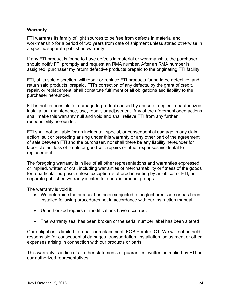#### <span id="page-23-0"></span>**Warranty**

FTI warrants its family of light sources to be free from defects in material and workmanship for a period of two years from date of shipment unless stated otherwise in a specific separate published warranty.

If any FTI product is found to have defects in material or workmanship, the purchaser should notify FTI promptly and request an RMA number. After an RMA number is assigned, purchaser my return defective products prepaid to the originating FTI facility.

FTI, at its sole discretion, will repair or replace FTI products found to be defective, and return said products, prepaid. FTI's correction of any defects, by the grant of credit, repair, or replacement, shall constitute fulfilment of all obligations and liability to the purchaser hereunder.

FTI is not responsible for damage to product caused by abuse or neglect, unauthorized installation, maintenance, use, repair, or adjustment. Any of the aforementioned actions shall make this warranty null and void and shall relieve FTI from any further responsibility hereunder.

FTI shall not be liable for an incidental, special, or consequential damage in any claim action, suit or preceding arising under this warranty or any other part of the agreement of sale between FTI and the purchaser, nor shall there be any liability hereunder for labor claims, loss of profits or good will, repairs or other expenses incidental to replacement.

The foregoing warranty is in lieu of all other representations and warranties expressed or implied, written or oral, including warranties of merchantability or fitness of the goods for a particular purpose, unless exception is offered in writing by an officer of FTI, or separate published warranty is cited for specific product groups.

The warranty is void if:

- We determine the product has been subjected to neglect or misuse or has been installed following procedures not in accordance with our instruction manual.
- Unauthorized repairs or modifications have occurred.
- The warranty seal has been broken or the serial number label has been altered

Our obligation is limited to repair or replacement, FOB Pomfret CT. We will not be held responsible for consequential damages, transportation, installation, adjustment or other expenses arising in connection with our products or parts.

This warranty is in lieu of all other statements or guaranties, written or implied by FTI or our authorized representatives.